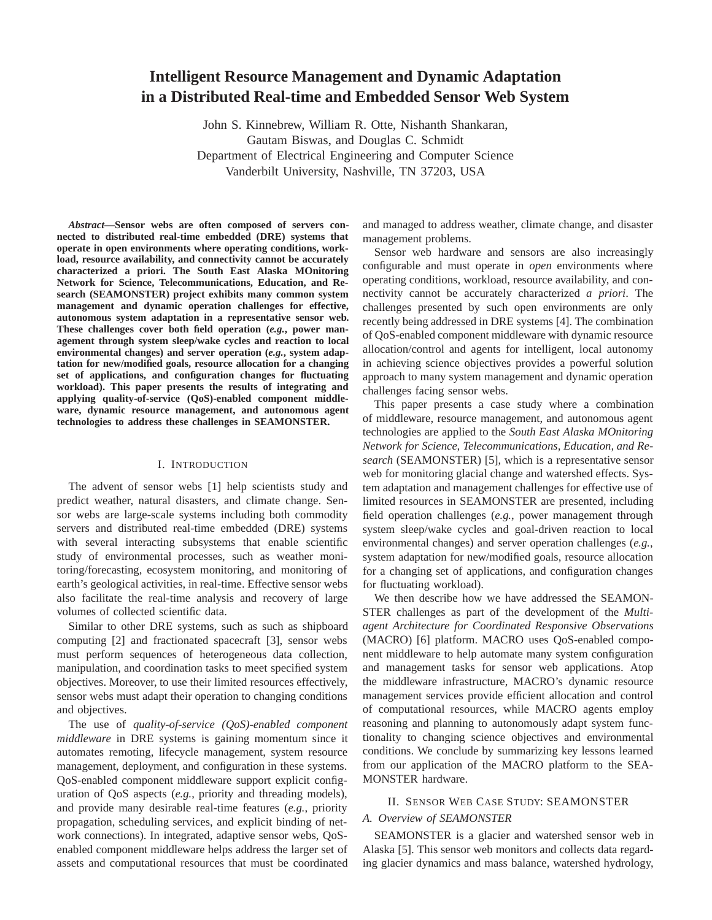# **Intelligent Resource Management and Dynamic Adaptation in a Distributed Real-time and Embedded Sensor Web System**

John S. Kinnebrew, William R. Otte, Nishanth Shankaran, Gautam Biswas, and Douglas C. Schmidt Department of Electrical Engineering and Computer Science Vanderbilt University, Nashville, TN 37203, USA

*Abstract***—Sensor webs are often composed of servers connected to distributed real-time embedded (DRE) systems that operate in open environments where operating conditions, workload, resource availability, and connectivity cannot be accurately characterized a priori. The South East Alaska MOnitoring Network for Science, Telecommunications, Education, and Research (SEAMONSTER) project exhibits many common system management and dynamic operation challenges for effective, autonomous system adaptation in a representative sensor web. These challenges cover both field operation (***e.g.***, power management through system sleep/wake cycles and reaction to local environmental changes) and server operation (***e.g.***, system adaptation for new/modified goals, resource allocation for a changing set of applications, and configuration changes for fluctuating workload). This paper presents the results of integrating and applying quality-of-service (QoS)-enabled component middleware, dynamic resource management, and autonomous agent technologies to address these challenges in SEAMONSTER.**

## I. INTRODUCTION

The advent of sensor webs [1] help scientists study and predict weather, natural disasters, and climate change. Sensor webs are large-scale systems including both commodity servers and distributed real-time embedded (DRE) systems with several interacting subsystems that enable scientific study of environmental processes, such as weather monitoring/forecasting, ecosystem monitoring, and monitoring of earth's geological activities, in real-time. Effective sensor webs also facilitate the real-time analysis and recovery of large volumes of collected scientific data.

Similar to other DRE systems, such as such as shipboard computing [2] and fractionated spacecraft [3], sensor webs must perform sequences of heterogeneous data collection, manipulation, and coordination tasks to meet specified system objectives. Moreover, to use their limited resources effectively, sensor webs must adapt their operation to changing conditions and objectives.

The use of *quality-of-service (QoS)-enabled component middleware* in DRE systems is gaining momentum since it automates remoting, lifecycle management, system resource management, deployment, and configuration in these systems. QoS-enabled component middleware support explicit configuration of QoS aspects (*e.g.*, priority and threading models), and provide many desirable real-time features (*e.g.*, priority propagation, scheduling services, and explicit binding of network connections). In integrated, adaptive sensor webs, QoSenabled component middleware helps address the larger set of assets and computational resources that must be coordinated and managed to address weather, climate change, and disaster management problems.

Sensor web hardware and sensors are also increasingly configurable and must operate in *open* environments where operating conditions, workload, resource availability, and connectivity cannot be accurately characterized *a priori*. The challenges presented by such open environments are only recently being addressed in DRE systems [4]. The combination of QoS-enabled component middleware with dynamic resource allocation/control and agents for intelligent, local autonomy in achieving science objectives provides a powerful solution approach to many system management and dynamic operation challenges facing sensor webs.

This paper presents a case study where a combination of middleware, resource management, and autonomous agent technologies are applied to the *South East Alaska MOnitoring Network for Science, Telecommunications, Education, and Research* (SEAMONSTER) [5], which is a representative sensor web for monitoring glacial change and watershed effects. System adaptation and management challenges for effective use of limited resources in SEAMONSTER are presented, including field operation challenges (*e.g.*, power management through system sleep/wake cycles and goal-driven reaction to local environmental changes) and server operation challenges (*e.g.*, system adaptation for new/modified goals, resource allocation for a changing set of applications, and configuration changes for fluctuating workload).

We then describe how we have addressed the SEAMON-STER challenges as part of the development of the *Multiagent Architecture for Coordinated Responsive Observations* (MACRO) [6] platform. MACRO uses QoS-enabled component middleware to help automate many system configuration and management tasks for sensor web applications. Atop the middleware infrastructure, MACRO's dynamic resource management services provide efficient allocation and control of computational resources, while MACRO agents employ reasoning and planning to autonomously adapt system functionality to changing science objectives and environmental conditions. We conclude by summarizing key lessons learned from our application of the MACRO platform to the SEA-MONSTER hardware.

### II. SENSOR WEB CASE STUDY: SEAMONSTER

### *A. Overview of SEAMONSTER*

SEAMONSTER is a glacier and watershed sensor web in Alaska [5]. This sensor web monitors and collects data regarding glacier dynamics and mass balance, watershed hydrology,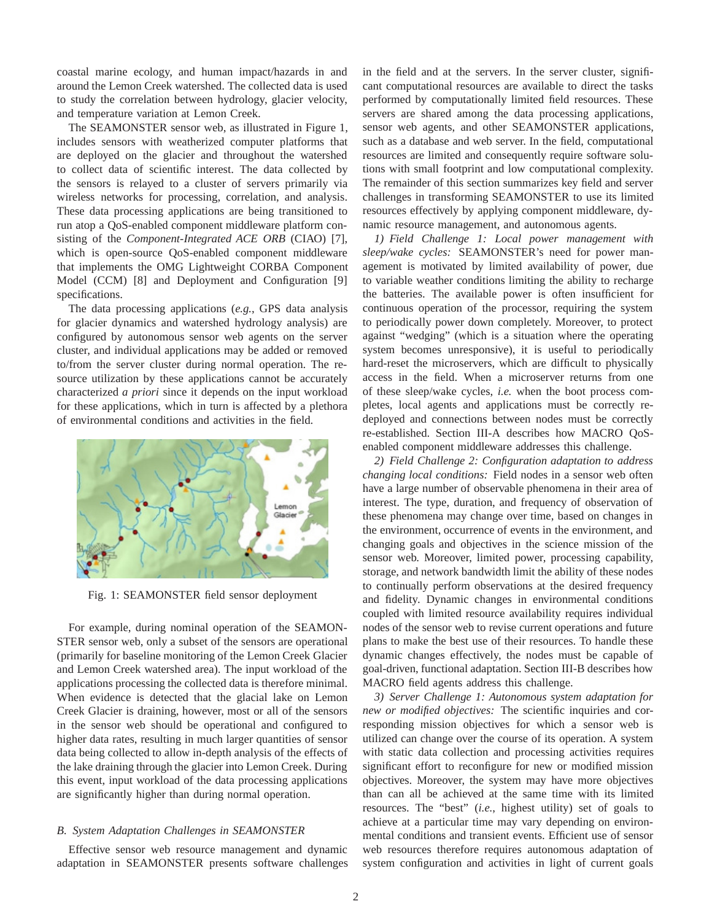coastal marine ecology, and human impact/hazards in and around the Lemon Creek watershed. The collected data is used to study the correlation between hydrology, glacier velocity, and temperature variation at Lemon Creek.

The SEAMONSTER sensor web, as illustrated in Figure 1, includes sensors with weatherized computer platforms that are deployed on the glacier and throughout the watershed to collect data of scientific interest. The data collected by the sensors is relayed to a cluster of servers primarily via wireless networks for processing, correlation, and analysis. These data processing applications are being transitioned to run atop a QoS-enabled component middleware platform consisting of the *Component-Integrated ACE ORB* (CIAO) [7], which is open-source QoS-enabled component middleware that implements the OMG Lightweight CORBA Component Model (CCM) [8] and Deployment and Configuration [9] specifications.

The data processing applications (*e.g.*, GPS data analysis for glacier dynamics and watershed hydrology analysis) are configured by autonomous sensor web agents on the server cluster, and individual applications may be added or removed to/from the server cluster during normal operation. The resource utilization by these applications cannot be accurately characterized *a priori* since it depends on the input workload for these applications, which in turn is affected by a plethora of environmental conditions and activities in the field.



Fig. 1: SEAMONSTER field sensor deployment

For example, during nominal operation of the SEAMON-STER sensor web, only a subset of the sensors are operational (primarily for baseline monitoring of the Lemon Creek Glacier and Lemon Creek watershed area). The input workload of the applications processing the collected data is therefore minimal. When evidence is detected that the glacial lake on Lemon Creek Glacier is draining, however, most or all of the sensors in the sensor web should be operational and configured to higher data rates, resulting in much larger quantities of sensor data being collected to allow in-depth analysis of the effects of the lake draining through the glacier into Lemon Creek. During this event, input workload of the data processing applications are significantly higher than during normal operation.

# *B. System Adaptation Challenges in SEAMONSTER*

Effective sensor web resource management and dynamic adaptation in SEAMONSTER presents software challenges in the field and at the servers. In the server cluster, significant computational resources are available to direct the tasks performed by computationally limited field resources. These servers are shared among the data processing applications, sensor web agents, and other SEAMONSTER applications, such as a database and web server. In the field, computational resources are limited and consequently require software solutions with small footprint and low computational complexity. The remainder of this section summarizes key field and server challenges in transforming SEAMONSTER to use its limited resources effectively by applying component middleware, dynamic resource management, and autonomous agents.

*1) Field Challenge 1: Local power management with sleep/wake cycles:* SEAMONSTER's need for power management is motivated by limited availability of power, due to variable weather conditions limiting the ability to recharge the batteries. The available power is often insufficient for continuous operation of the processor, requiring the system to periodically power down completely. Moreover, to protect against "wedging" (which is a situation where the operating system becomes unresponsive), it is useful to periodically hard-reset the microservers, which are difficult to physically access in the field. When a microserver returns from one of these sleep/wake cycles, *i.e.* when the boot process completes, local agents and applications must be correctly redeployed and connections between nodes must be correctly re-established. Section III-A describes how MACRO QoSenabled component middleware addresses this challenge.

*2) Field Challenge 2: Configuration adaptation to address changing local conditions:* Field nodes in a sensor web often have a large number of observable phenomena in their area of interest. The type, duration, and frequency of observation of these phenomena may change over time, based on changes in the environment, occurrence of events in the environment, and changing goals and objectives in the science mission of the sensor web. Moreover, limited power, processing capability, storage, and network bandwidth limit the ability of these nodes to continually perform observations at the desired frequency and fidelity. Dynamic changes in environmental conditions coupled with limited resource availability requires individual nodes of the sensor web to revise current operations and future plans to make the best use of their resources. To handle these dynamic changes effectively, the nodes must be capable of goal-driven, functional adaptation. Section III-B describes how MACRO field agents address this challenge.

*3) Server Challenge 1: Autonomous system adaptation for new or modified objectives:* The scientific inquiries and corresponding mission objectives for which a sensor web is utilized can change over the course of its operation. A system with static data collection and processing activities requires significant effort to reconfigure for new or modified mission objectives. Moreover, the system may have more objectives than can all be achieved at the same time with its limited resources. The "best" (*i.e.*, highest utility) set of goals to achieve at a particular time may vary depending on environmental conditions and transient events. Efficient use of sensor web resources therefore requires autonomous adaptation of system configuration and activities in light of current goals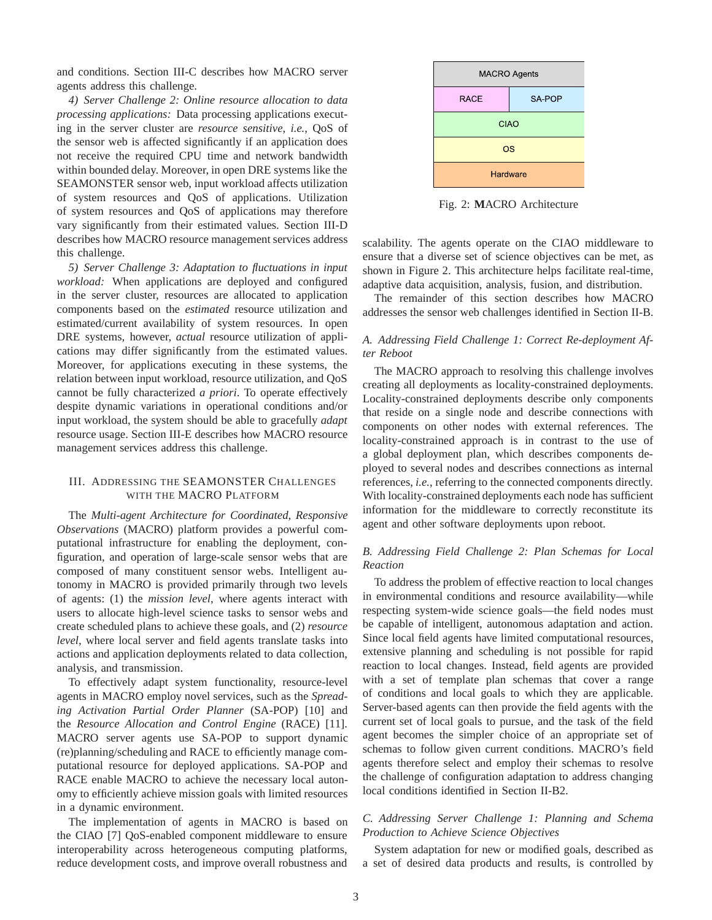and conditions. Section III-C describes how MACRO server agents address this challenge.

*4) Server Challenge 2: Online resource allocation to data processing applications:* Data processing applications executing in the server cluster are *resource sensitive*, *i.e.*, QoS of the sensor web is affected significantly if an application does not receive the required CPU time and network bandwidth within bounded delay. Moreover, in open DRE systems like the SEAMONSTER sensor web, input workload affects utilization of system resources and QoS of applications. Utilization of system resources and QoS of applications may therefore vary significantly from their estimated values. Section III-D describes how MACRO resource management services address this challenge.

*5) Server Challenge 3: Adaptation to fluctuations in input workload:* When applications are deployed and configured in the server cluster, resources are allocated to application components based on the *estimated* resource utilization and estimated/current availability of system resources. In open DRE systems, however, *actual* resource utilization of applications may differ significantly from the estimated values. Moreover, for applications executing in these systems, the relation between input workload, resource utilization, and QoS cannot be fully characterized *a priori*. To operate effectively despite dynamic variations in operational conditions and/or input workload, the system should be able to gracefully *adapt* resource usage. Section III-E describes how MACRO resource management services address this challenge.

# III. ADDRESSING THE SEAMONSTER CHALLENGES WITH THE MACRO PLATFORM

The *Multi-agent Architecture for Coordinated, Responsive Observations* (MACRO) platform provides a powerful computational infrastructure for enabling the deployment, configuration, and operation of large-scale sensor webs that are composed of many constituent sensor webs. Intelligent autonomy in MACRO is provided primarily through two levels of agents: (1) the *mission level*, where agents interact with users to allocate high-level science tasks to sensor webs and create scheduled plans to achieve these goals, and (2) *resource level*, where local server and field agents translate tasks into actions and application deployments related to data collection, analysis, and transmission.

To effectively adapt system functionality, resource-level agents in MACRO employ novel services, such as the *Spreading Activation Partial Order Planner* (SA-POP) [10] and the *Resource Allocation and Control Engine* (RACE) [11]. MACRO server agents use SA-POP to support dynamic (re)planning/scheduling and RACE to efficiently manage computational resource for deployed applications. SA-POP and RACE enable MACRO to achieve the necessary local autonomy to efficiently achieve mission goals with limited resources in a dynamic environment.

The implementation of agents in MACRO is based on the CIAO [7] QoS-enabled component middleware to ensure interoperability across heterogeneous computing platforms, reduce development costs, and improve overall robustness and



Fig. 2: **M**ACRO Architecture

scalability. The agents operate on the CIAO middleware to ensure that a diverse set of science objectives can be met, as shown in Figure 2. This architecture helps facilitate real-time, adaptive data acquisition, analysis, fusion, and distribution.

The remainder of this section describes how MACRO addresses the sensor web challenges identified in Section II-B.

# *A. Addressing Field Challenge 1: Correct Re-deployment After Reboot*

The MACRO approach to resolving this challenge involves creating all deployments as locality-constrained deployments. Locality-constrained deployments describe only components that reside on a single node and describe connections with components on other nodes with external references. The locality-constrained approach is in contrast to the use of a global deployment plan, which describes components deployed to several nodes and describes connections as internal references, *i.e.*, referring to the connected components directly. With locality-constrained deployments each node has sufficient information for the middleware to correctly reconstitute its agent and other software deployments upon reboot.

# *B. Addressing Field Challenge 2: Plan Schemas for Local Reaction*

To address the problem of effective reaction to local changes in environmental conditions and resource availability—while respecting system-wide science goals—the field nodes must be capable of intelligent, autonomous adaptation and action. Since local field agents have limited computational resources, extensive planning and scheduling is not possible for rapid reaction to local changes. Instead, field agents are provided with a set of template plan schemas that cover a range of conditions and local goals to which they are applicable. Server-based agents can then provide the field agents with the current set of local goals to pursue, and the task of the field agent becomes the simpler choice of an appropriate set of schemas to follow given current conditions. MACRO's field agents therefore select and employ their schemas to resolve the challenge of configuration adaptation to address changing local conditions identified in Section II-B2.

# *C. Addressing Server Challenge 1: Planning and Schema Production to Achieve Science Objectives*

System adaptation for new or modified goals, described as a set of desired data products and results, is controlled by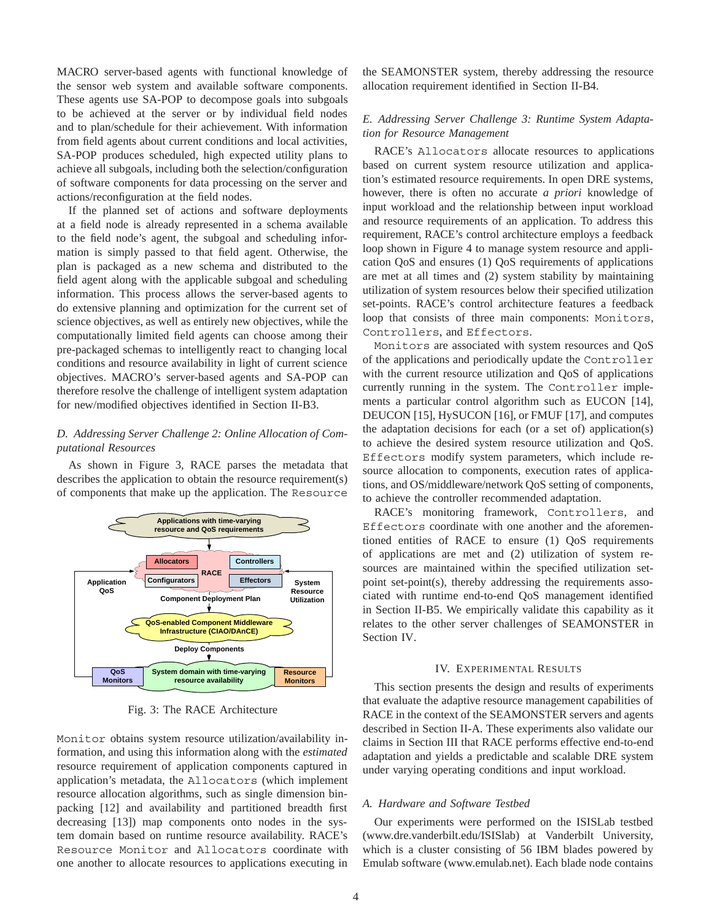MACRO server-based agents with functional knowledge of the sensor web system and available software components. These agents use SA-POP to decompose goals into subgoals to be achieved at the server or by individual field nodes and to plan/schedule for their achievement. With information from field agents about current conditions and local activities, SA-POP produces scheduled, high expected utility plans to achieve all subgoals, including both the selection/configuration of software components for data processing on the server and actions/reconfiguration at the field nodes.

If the planned set of actions and software deployments at a field node is already represented in a schema available to the field node's agent, the subgoal and scheduling information is simply passed to that field agent. Otherwise, the plan is packaged as a new schema and distributed to the field agent along with the applicable subgoal and scheduling information. This process allows the server-based agents to do extensive planning and optimization for the current set of science objectives, as well as entirely new objectives, while the computationally limited field agents can choose among their pre-packaged schemas to intelligently react to changing local conditions and resource availability in light of current science objectives. MACRO's server-based agents and SA-POP can therefore resolve the challenge of intelligent system adaptation for new/modified objectives identified in Section II-B3.

# *D. Addressing Server Challenge 2: Online Allocation of Computational Resources*

As shown in Figure 3, RACE parses the metadata that describes the application to obtain the resource requirement(s) of components that make up the application. The Resource



Fig. 3: The RACE Architecture

Monitor obtains system resource utilization/availability information, and using this information along with the *estimated* resource requirement of application components captured in application's metadata, the Allocators (which implement resource allocation algorithms, such as single dimension binpacking [12] and availability and partitioned breadth first decreasing [13]) map components onto nodes in the system domain based on runtime resource availability. RACE's Resource Monitor and Allocators coordinate with one another to allocate resources to applications executing in the SEAMONSTER system, thereby addressing the resource allocation requirement identified in Section II-B4.

# *E. Addressing Server Challenge 3: Runtime System Adaptation for Resource Management*

RACE's Allocators allocate resources to applications based on current system resource utilization and application's estimated resource requirements. In open DRE systems, however, there is often no accurate *a priori* knowledge of input workload and the relationship between input workload and resource requirements of an application. To address this requirement, RACE's control architecture employs a feedback loop shown in Figure 4 to manage system resource and application QoS and ensures (1) QoS requirements of applications are met at all times and (2) system stability by maintaining utilization of system resources below their specified utilization set-points. RACE's control architecture features a feedback loop that consists of three main components: Monitors, Controllers, and Effectors.

Monitors are associated with system resources and QoS of the applications and periodically update the Controller with the current resource utilization and QoS of applications currently running in the system. The Controller implements a particular control algorithm such as EUCON [14], DEUCON [15], HySUCON [16], or FMUF [17], and computes the adaptation decisions for each (or a set of) application(s) to achieve the desired system resource utilization and QoS. Effectors modify system parameters, which include resource allocation to components, execution rates of applications, and OS/middleware/network QoS setting of components, to achieve the controller recommended adaptation.

RACE's monitoring framework, Controllers, and Effectors coordinate with one another and the aforementioned entities of RACE to ensure (1) QoS requirements of applications are met and (2) utilization of system resources are maintained within the specified utilization setpoint set-point(s), thereby addressing the requirements associated with runtime end-to-end QoS management identified in Section II-B5. We empirically validate this capability as it relates to the other server challenges of SEAMONSTER in Section IV.

### IV. EXPERIMENTAL RESULTS

This section presents the design and results of experiments that evaluate the adaptive resource management capabilities of RACE in the context of the SEAMONSTER servers and agents described in Section II-A. These experiments also validate our claims in Section III that RACE performs effective end-to-end adaptation and yields a predictable and scalable DRE system under varying operating conditions and input workload.

#### *A. Hardware and Software Testbed*

Our experiments were performed on the ISISLab testbed (www.dre.vanderbilt.edu/ISISlab) at Vanderbilt University, which is a cluster consisting of 56 IBM blades powered by Emulab software (www.emulab.net). Each blade node contains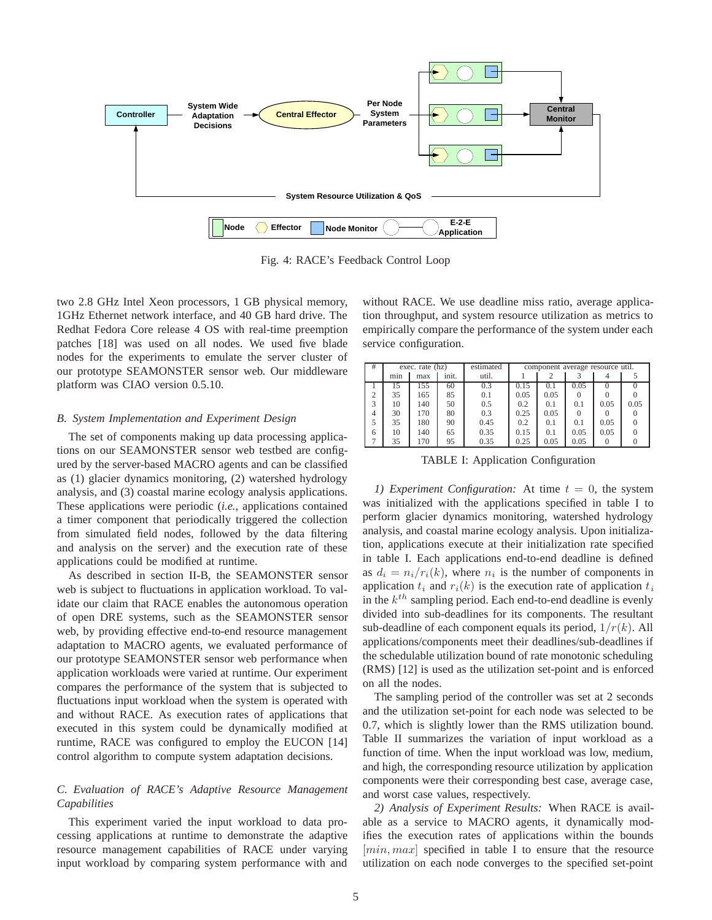

Fig. 4: RACE's Feedback Control Loop

two 2.8 GHz Intel Xeon processors, 1 GB physical memory, 1GHz Ethernet network interface, and 40 GB hard drive. The Redhat Fedora Core release 4 OS with real-time preemption patches [18] was used on all nodes. We used five blade nodes for the experiments to emulate the server cluster of our prototype SEAMONSTER sensor web. Our middleware platform was CIAO version 0.5.10.

#### *B. System Implementation and Experiment Design*

The set of components making up data processing applications on our SEAMONSTER sensor web testbed are configured by the server-based MACRO agents and can be classified as (1) glacier dynamics monitoring, (2) watershed hydrology analysis, and (3) coastal marine ecology analysis applications. These applications were periodic (*i.e.*, applications contained a timer component that periodically triggered the collection from simulated field nodes, followed by the data filtering and analysis on the server) and the execution rate of these applications could be modified at runtime.

As described in section II-B, the SEAMONSTER sensor web is subject to fluctuations in application workload. To validate our claim that RACE enables the autonomous operation of open DRE systems, such as the SEAMONSTER sensor web, by providing effective end-to-end resource management adaptation to MACRO agents, we evaluated performance of our prototype SEAMONSTER sensor web performance when application workloads were varied at runtime. Our experiment compares the performance of the system that is subjected to fluctuations input workload when the system is operated with and without RACE. As execution rates of applications that executed in this system could be dynamically modified at runtime, RACE was configured to employ the EUCON [14] control algorithm to compute system adaptation decisions.

# *C. Evaluation of RACE's Adaptive Resource Management Capabilities*

This experiment varied the input workload to data processing applications at runtime to demonstrate the adaptive resource management capabilities of RACE under varying input workload by comparing system performance with and

without RACE. We use deadline miss ratio, average application throughput, and system resource utilization as metrics to empirically compare the performance of the system under each service configuration.

| #              | exec. rate (hz) |     |       | estimated | component average resource util. |      |          |      |      |
|----------------|-----------------|-----|-------|-----------|----------------------------------|------|----------|------|------|
|                | min             | max | init. | util.     |                                  |      |          |      |      |
|                | 15              | 155 | 60    | 0.3       | 0.15                             | 0.1  | 0.05     |      |      |
| $\overline{c}$ | 35              | 165 | 85    | 0.1       | 0.05                             | 0.05 | $\theta$ |      |      |
| 3              | 10              | 140 | 50    | 0.5       | 0.2                              | 0.1  | 0.1      | 0.05 | 0.05 |
| 4              | 30              | 170 | 80    | 0.3       | 0.25                             | 0.05 | 0        |      |      |
| 5              | 35              | 180 | 90    | 0.45      | 0.2                              | 0.1  | 0.1      | 0.05 |      |
| 6              | 10              | 140 | 65    | 0.35      | 0.15                             | 0.1  | 0.05     | 0.05 |      |
|                | 35              | 170 | 95    | 0.35      | 0.25                             | 0.05 | 0.05     |      |      |

TABLE I: Application Configuration

*1) Experiment Configuration:* At time *t* = 0, the system was initialized with the applications specified in table I to perform glacier dynamics monitoring, watershed hydrology analysis, and coastal marine ecology analysis. Upon initialization, applications execute at their initialization rate specified in table I. Each applications end-to-end deadline is defined as  $d_i = n_i/r_i(k)$ , where  $n_i$  is the number of components in application  $t_i$  and  $r_i(k)$  is the execution rate of application  $t_i$ in the *kth* sampling period. Each end-to-end deadline is evenly divided into sub-deadlines for its components. The resultant sub-deadline of each component equals its period, 1*/r*(*k*). All applications/components meet their deadlines/sub-deadlines if the schedulable utilization bound of rate monotonic scheduling (RMS) [12] is used as the utilization set-point and is enforced on all the nodes.

The sampling period of the controller was set at 2 seconds and the utilization set-point for each node was selected to be 0.7, which is slightly lower than the RMS utilization bound. Table II summarizes the variation of input workload as a function of time. When the input workload was low, medium, and high, the corresponding resource utilization by application components were their corresponding best case, average case, and worst case values, respectively.

*2) Analysis of Experiment Results:* When RACE is available as a service to MACRO agents, it dynamically modifies the execution rates of applications within the bounds [*min, max*] specified in table I to ensure that the resource utilization on each node converges to the specified set-point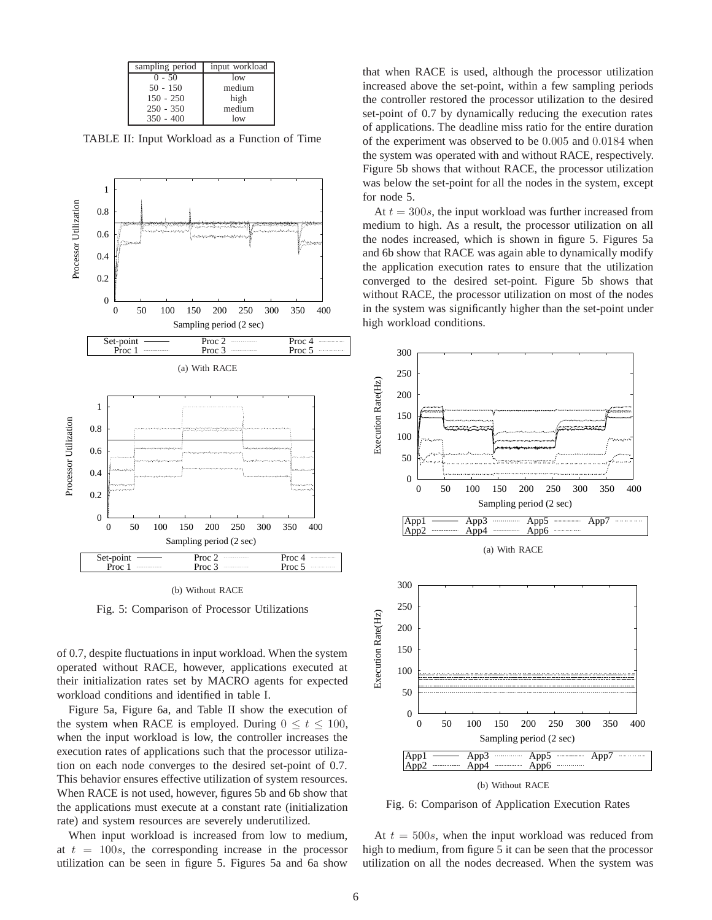| sampling period | input workload |
|-----------------|----------------|
| $0 - 50$        | low            |
| $50 - 150$      | medium         |
| $150 - 250$     | high           |
| $250 - 350$     | medium         |
| $350 - 400$     | low            |

TABLE II: Input Workload as a Function of Time



(b) Without RACE

Fig. 5: Comparison of Processor Utilizations

of 0.7, despite fluctuations in input workload. When the system operated without RACE, however, applications executed at their initialization rates set by MACRO agents for expected workload conditions and identified in table I.

Figure 5a, Figure 6a, and Table II show the execution of the system when RACE is employed. During  $0 \le t \le 100$ , when the input workload is low, the controller increases the execution rates of applications such that the processor utilization on each node converges to the desired set-point of 0.7. This behavior ensures effective utilization of system resources. When RACE is not used, however, figures 5b and 6b show that the applications must execute at a constant rate (initialization rate) and system resources are severely underutilized.

When input workload is increased from low to medium, at  $t = 100s$ , the corresponding increase in the processor utilization can be seen in figure 5. Figures 5a and 6a show

that when RACE is used, although the processor utilization increased above the set-point, within a few sampling periods the controller restored the processor utilization to the desired set-point of 0.7 by dynamically reducing the execution rates of applications. The deadline miss ratio for the entire duration of the experiment was observed to be 0*.*005 and 0*.*0184 when the system was operated with and without RACE, respectively. Figure 5b shows that without RACE, the processor utilization was below the set-point for all the nodes in the system, except for node 5.

At  $t = 300s$ , the input workload was further increased from medium to high. As a result, the processor utilization on all the nodes increased, which is shown in figure 5. Figures 5a and 6b show that RACE was again able to dynamically modify the application execution rates to ensure that the utilization converged to the desired set-point. Figure 5b shows that without RACE, the processor utilization on most of the nodes in the system was significantly higher than the set-point under high workload conditions.



Fig. 6: Comparison of Application Execution Rates

At  $t = 500s$ , when the input workload was reduced from high to medium, from figure 5 it can be seen that the processor utilization on all the nodes decreased. When the system was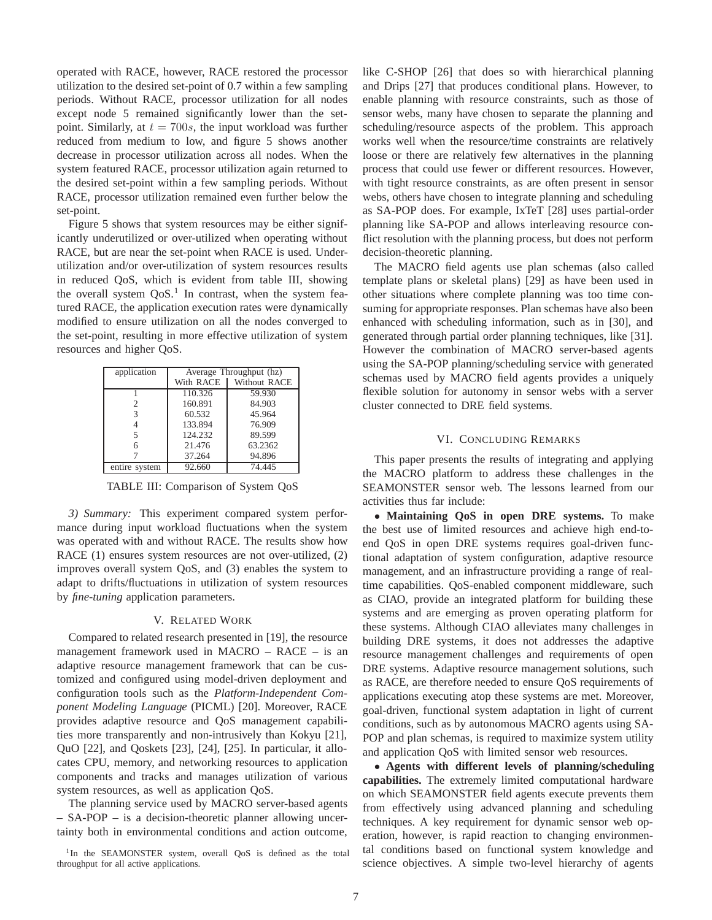operated with RACE, however, RACE restored the processor utilization to the desired set-point of 0.7 within a few sampling periods. Without RACE, processor utilization for all nodes except node 5 remained significantly lower than the setpoint. Similarly, at  $t = 700s$ , the input workload was further reduced from medium to low, and figure 5 shows another decrease in processor utilization across all nodes. When the system featured RACE, processor utilization again returned to the desired set-point within a few sampling periods. Without RACE, processor utilization remained even further below the set-point.

Figure 5 shows that system resources may be either significantly underutilized or over-utilized when operating without RACE, but are near the set-point when RACE is used. Underutilization and/or over-utilization of system resources results in reduced QoS, which is evident from table III, showing the overall system  $QoS<sup>1</sup>$ . In contrast, when the system featured RACE, the application execution rates were dynamically modified to ensure utilization on all the nodes converged to the set-point, resulting in more effective utilization of system resources and higher QoS.

| application   | Average Throughput (hz) |                        |  |  |
|---------------|-------------------------|------------------------|--|--|
|               |                         | With RACE Without RACE |  |  |
|               | 110.326                 | 59.930                 |  |  |
|               | 160.891                 | 84.903                 |  |  |
| 3             | 60.532                  | 45.964                 |  |  |
|               | 133.894                 | 76.909                 |  |  |
| 5             | 124.232                 | 89.599                 |  |  |
| 6             | 21.476                  | 63.2362                |  |  |
|               | 37.264                  | 94.896                 |  |  |
| entire system | 92.660                  | 74.445                 |  |  |

TABLE III: Comparison of System QoS

*3) Summary:* This experiment compared system performance during input workload fluctuations when the system was operated with and without RACE. The results show how RACE (1) ensures system resources are not over-utilized, (2) improves overall system QoS, and (3) enables the system to adapt to drifts/fluctuations in utilization of system resources by *fine-tuning* application parameters.

#### V. RELATED WORK

Compared to related research presented in [19], the resource management framework used in MACRO – RACE – is an adaptive resource management framework that can be customized and configured using model-driven deployment and configuration tools such as the *Platform-Independent Component Modeling Language* (PICML) [20]. Moreover, RACE provides adaptive resource and QoS management capabilities more transparently and non-intrusively than Kokyu [21], QuO [22], and Qoskets [23], [24], [25]. In particular, it allocates CPU, memory, and networking resources to application components and tracks and manages utilization of various system resources, as well as application QoS.

The planning service used by MACRO server-based agents – SA-POP – is a decision-theoretic planner allowing uncertainty both in environmental conditions and action outcome,

<sup>1</sup>In the SEAMONSTER system, overall OoS is defined as the total throughput for all active applications.

like C-SHOP [26] that does so with hierarchical planning and Drips [27] that produces conditional plans. However, to enable planning with resource constraints, such as those of sensor webs, many have chosen to separate the planning and scheduling/resource aspects of the problem. This approach works well when the resource/time constraints are relatively loose or there are relatively few alternatives in the planning process that could use fewer or different resources. However, with tight resource constraints, as are often present in sensor webs, others have chosen to integrate planning and scheduling as SA-POP does. For example, IxTeT [28] uses partial-order planning like SA-POP and allows interleaving resource conflict resolution with the planning process, but does not perform decision-theoretic planning.

The MACRO field agents use plan schemas (also called template plans or skeletal plans) [29] as have been used in other situations where complete planning was too time consuming for appropriate responses. Plan schemas have also been enhanced with scheduling information, such as in [30], and generated through partial order planning techniques, like [31]. However the combination of MACRO server-based agents using the SA-POP planning/scheduling service with generated schemas used by MACRO field agents provides a uniquely flexible solution for autonomy in sensor webs with a server cluster connected to DRE field systems.

# VI. CONCLUDING REMARKS

This paper presents the results of integrating and applying the MACRO platform to address these challenges in the SEAMONSTER sensor web. The lessons learned from our activities thus far include:

• **Maintaining QoS in open DRE systems.** To make the best use of limited resources and achieve high end-toend QoS in open DRE systems requires goal-driven functional adaptation of system configuration, adaptive resource management, and an infrastructure providing a range of realtime capabilities. QoS-enabled component middleware, such as CIAO, provide an integrated platform for building these systems and are emerging as proven operating platform for these systems. Although CIAO alleviates many challenges in building DRE systems, it does not addresses the adaptive resource management challenges and requirements of open DRE systems. Adaptive resource management solutions, such as RACE, are therefore needed to ensure QoS requirements of applications executing atop these systems are met. Moreover, goal-driven, functional system adaptation in light of current conditions, such as by autonomous MACRO agents using SA-POP and plan schemas, is required to maximize system utility and application QoS with limited sensor web resources.

• **Agents with different levels of planning/scheduling capabilities.** The extremely limited computational hardware on which SEAMONSTER field agents execute prevents them from effectively using advanced planning and scheduling techniques. A key requirement for dynamic sensor web operation, however, is rapid reaction to changing environmental conditions based on functional system knowledge and science objectives. A simple two-level hierarchy of agents